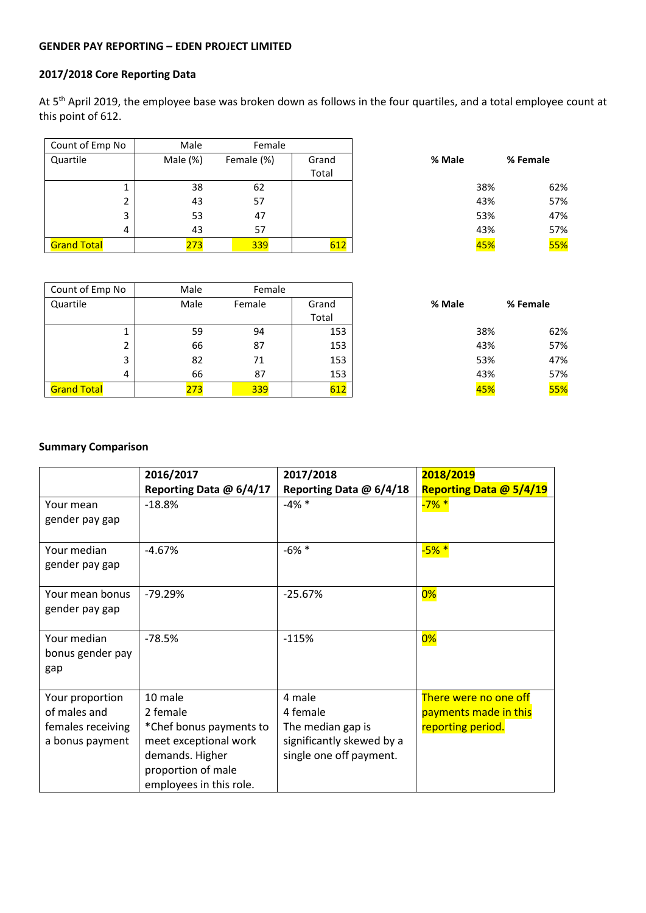# **GENDER PAY REPORTING – EDEN PROJECT LIMITED**

### **2017/2018 Core Reporting Data**

At 5<sup>th</sup> April 2019, the employee base was broken down as follows in the four quartiles, and a total employee count at this point of 612.

| Count of Emp No    | Male     | Female     |                |        |          |
|--------------------|----------|------------|----------------|--------|----------|
| Quartile           | Male (%) | Female (%) | Grand<br>Total | % Male | % Female |
|                    |          |            |                |        |          |
|                    | 38       | 62         |                | 38%    | 62%      |
| 2                  | 43       | 57         |                | 43%    | 57%      |
| 3                  | 53       | 47         |                | 53%    | 47%      |
| 4                  | 43       | 57         |                | 43%    | 57%      |
| <b>Grand Total</b> | 273      | 339        | 612            | 45%    | 55%      |

| Count of Emp No    | Male | Female |                |        |            |
|--------------------|------|--------|----------------|--------|------------|
| Quartile           | Male | Female | Grand<br>Total | % Male | % Female   |
|                    | 59   | 94     | 153            | 38%    | 62%        |
|                    | 66   | 87     | 153            | 43%    | 57%        |
| 3                  | 82   | 71     | 153            | 53%    | 47%        |
| 4                  | 66   | 87     | 153            | 43%    | 57%        |
| <b>Grand Total</b> | 273  | 339    | 612            | 45%    | <b>55%</b> |

## **Summary Comparison**

|                   | 2016/2017               | 2017/2018                 | 2018/2019               |
|-------------------|-------------------------|---------------------------|-------------------------|
|                   | Reporting Data @ 6/4/17 | Reporting Data @ 6/4/18   | Reporting Data @ 5/4/19 |
| Your mean         | $-18.8%$                | $-4\% *$                  | $-7\%$ *                |
| gender pay gap    |                         |                           |                         |
|                   |                         |                           |                         |
| Your median       | $-4.67%$                | $-6\%$ *                  | $-5\% *$                |
| gender pay gap    |                         |                           |                         |
|                   |                         |                           |                         |
| Your mean bonus   | $-79.29%$               | $-25.67%$                 | 0%                      |
| gender pay gap    |                         |                           |                         |
|                   |                         |                           |                         |
| Your median       | $-78.5%$                | $-115%$                   | 0%                      |
| bonus gender pay  |                         |                           |                         |
| gap               |                         |                           |                         |
|                   |                         |                           |                         |
| Your proportion   | 10 male                 | 4 male                    | There were no one off   |
| of males and      | 2 female                | 4 female                  | payments made in this   |
| females receiving | *Chef bonus payments to | The median gap is         | reporting period.       |
| a bonus payment   | meet exceptional work   | significantly skewed by a |                         |
|                   | demands. Higher         | single one off payment.   |                         |
|                   | proportion of male      |                           |                         |
|                   | employees in this role. |                           |                         |